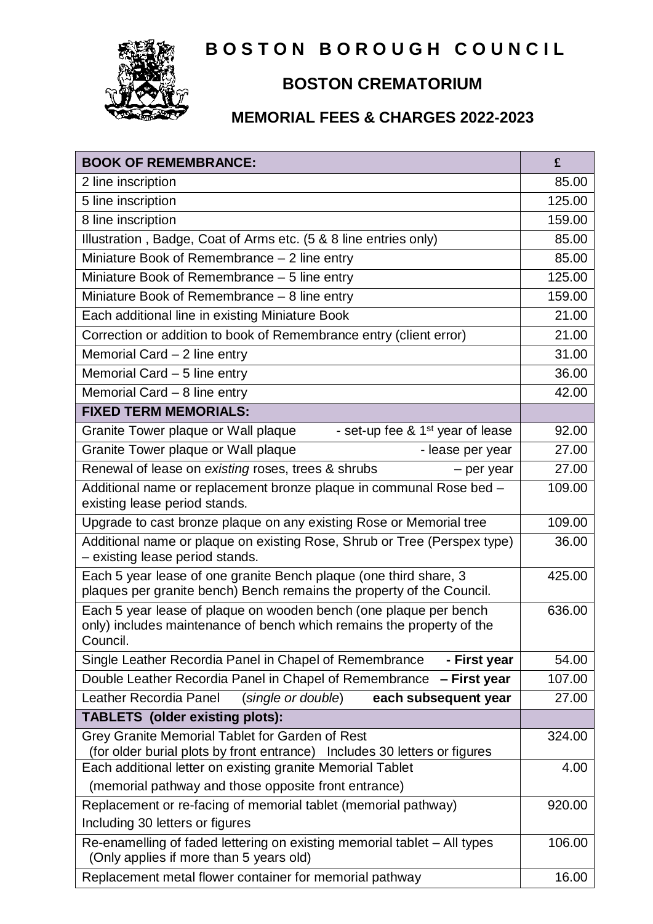

# **BOSTON BOROUGH COUNCIL**

# **BOSTON CREMATORIUM**

## **MEMORIAL FEES & CHARGES 2022-2023**

| <b>BOOK OF REMEMBRANCE:</b>                                                                                                                            | £      |
|--------------------------------------------------------------------------------------------------------------------------------------------------------|--------|
| 2 line inscription                                                                                                                                     | 85.00  |
| 5 line inscription                                                                                                                                     | 125.00 |
| 8 line inscription                                                                                                                                     | 159.00 |
| Illustration, Badge, Coat of Arms etc. (5 & 8 line entries only)                                                                                       | 85.00  |
| Miniature Book of Remembrance - 2 line entry                                                                                                           | 85.00  |
| Miniature Book of Remembrance - 5 line entry                                                                                                           | 125.00 |
| Miniature Book of Remembrance - 8 line entry                                                                                                           | 159.00 |
| Each additional line in existing Miniature Book                                                                                                        | 21.00  |
| Correction or addition to book of Remembrance entry (client error)                                                                                     | 21.00  |
| Memorial Card $-2$ line entry                                                                                                                          | 31.00  |
| Memorial Card - 5 line entry                                                                                                                           | 36.00  |
| Memorial Card $-8$ line entry                                                                                                                          | 42.00  |
| <b>FIXED TERM MEMORIALS:</b>                                                                                                                           |        |
| - set-up fee & 1 <sup>st</sup> year of lease<br>Granite Tower plaque or Wall plaque                                                                    | 92.00  |
| Granite Tower plaque or Wall plaque<br>- lease per year                                                                                                | 27.00  |
| Renewal of lease on existing roses, trees & shrubs<br>- per year                                                                                       | 27.00  |
| Additional name or replacement bronze plaque in communal Rose bed -<br>existing lease period stands.                                                   | 109.00 |
| Upgrade to cast bronze plaque on any existing Rose or Memorial tree                                                                                    | 109.00 |
| Additional name or plaque on existing Rose, Shrub or Tree (Perspex type)<br>- existing lease period stands.                                            | 36.00  |
| Each 5 year lease of one granite Bench plaque (one third share, 3<br>plaques per granite bench) Bench remains the property of the Council.             | 425.00 |
| Each 5 year lease of plaque on wooden bench (one plaque per bench<br>only) includes maintenance of bench which remains the property of the<br>Council. | 636.00 |
| Single Leather Recordia Panel in Chapel of Remembrance<br>- First year                                                                                 | 54.00  |
| Double Leather Recordia Panel in Chapel of Remembrance - First year                                                                                    | 107.00 |
| Leather Recordia Panel<br>(single or double)<br>each subsequent year                                                                                   | 27.00  |
| <b>TABLETS</b> (older existing plots):                                                                                                                 |        |
| Grey Granite Memorial Tablet for Garden of Rest<br>(for older burial plots by front entrance) Includes 30 letters or figures                           | 324.00 |
| Each additional letter on existing granite Memorial Tablet                                                                                             | 4.00   |
| (memorial pathway and those opposite front entrance)                                                                                                   |        |
| Replacement or re-facing of memorial tablet (memorial pathway)                                                                                         | 920.00 |
| Including 30 letters or figures                                                                                                                        |        |
| Re-enamelling of faded lettering on existing memorial tablet - All types<br>(Only applies if more than 5 years old)                                    | 106.00 |
| Replacement metal flower container for memorial pathway                                                                                                | 16.00  |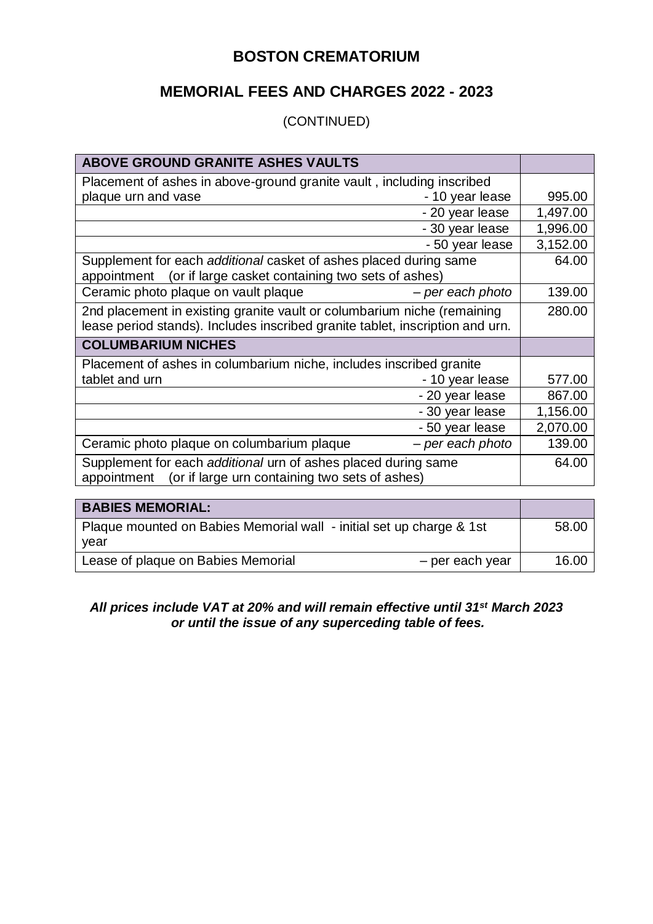### **BOSTON CREMATORIUM**

### **MEMORIAL FEES AND CHARGES 2022 - 2023**

#### (CONTINUED)

| ABOVE GROUND GRANITE ASHES VAULTS                                             |          |
|-------------------------------------------------------------------------------|----------|
| Placement of ashes in above-ground granite vault, including inscribed         |          |
| plaque urn and vase<br>- 10 year lease                                        | 995.00   |
| - 20 year lease                                                               | 1,497.00 |
| - 30 year lease                                                               | 1,996.00 |
| - 50 year lease                                                               | 3,152.00 |
| Supplement for each additional casket of ashes placed during same             | 64.00    |
| (or if large casket containing two sets of ashes)<br>appointment              |          |
| Ceramic photo plaque on vault plaque<br>- per each photo                      | 139.00   |
| 2nd placement in existing granite vault or columbarium niche (remaining       | 280.00   |
| lease period stands). Includes inscribed granite tablet, inscription and urn. |          |
| <b>COLUMBARIUM NICHES</b>                                                     |          |
| Placement of ashes in columbarium niche, includes inscribed granite           |          |
| tablet and urn<br>- 10 year lease                                             | 577.00   |
| - 20 year lease                                                               | 867.00   |
| - 30 year lease                                                               | 1,156.00 |
| - 50 year lease                                                               | 2,070.00 |
| - per each photo<br>Ceramic photo plaque on columbarium plaque                | 139.00   |
| Supplement for each additional urn of ashes placed during same                | 64.00    |
| (or if large urn containing two sets of ashes)<br>appointment                 |          |

| <b>BABIES MEMORIAL:</b>                                                      |       |
|------------------------------------------------------------------------------|-------|
| Plaque mounted on Babies Memorial wall - initial set up charge & 1st<br>year | 58.00 |
| Lease of plaque on Babies Memorial<br>- per each year                        | 16.00 |

#### *All prices include VAT at 20% and will remain effective until 31st March 2023 or until the issue of any superceding table of fees.*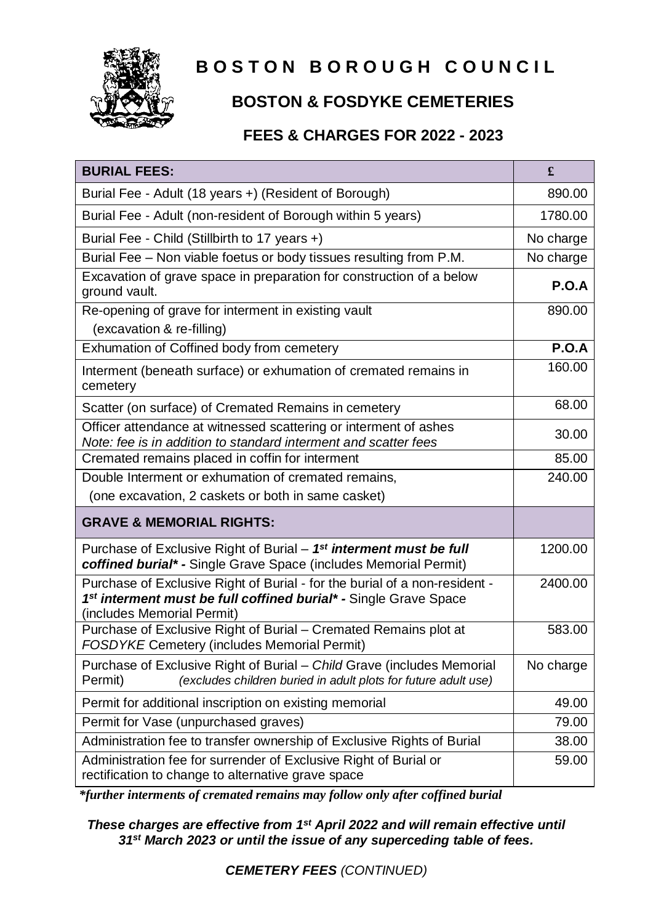

# **BOSTON BOROUGH COUNCIL**

# **BOSTON & FOSDYKE CEMETERIES**

### **FEES & CHARGES FOR 2022 - 2023**

| <b>BURIAL FEES:</b>                                                                                                                                                                      | £            |
|------------------------------------------------------------------------------------------------------------------------------------------------------------------------------------------|--------------|
| Burial Fee - Adult (18 years +) (Resident of Borough)                                                                                                                                    | 890.00       |
| Burial Fee - Adult (non-resident of Borough within 5 years)                                                                                                                              | 1780.00      |
| Burial Fee - Child (Stillbirth to 17 years +)                                                                                                                                            | No charge    |
| Burial Fee - Non viable foetus or body tissues resulting from P.M.                                                                                                                       | No charge    |
| Excavation of grave space in preparation for construction of a below<br>ground vault.                                                                                                    | <b>P.O.A</b> |
| Re-opening of grave for interment in existing vault                                                                                                                                      | 890.00       |
| (excavation & re-filling)                                                                                                                                                                |              |
| Exhumation of Coffined body from cemetery                                                                                                                                                | <b>P.O.A</b> |
| Interment (beneath surface) or exhumation of cremated remains in<br>cemetery                                                                                                             | 160.00       |
| Scatter (on surface) of Cremated Remains in cemetery                                                                                                                                     | 68.00        |
| Officer attendance at witnessed scattering or interment of ashes<br>Note: fee is in addition to standard interment and scatter fees                                                      | 30.00        |
| Cremated remains placed in coffin for interment                                                                                                                                          | 85.00        |
| Double Interment or exhumation of cremated remains,                                                                                                                                      | 240.00       |
| (one excavation, 2 caskets or both in same casket)                                                                                                                                       |              |
| <b>GRAVE &amp; MEMORIAL RIGHTS:</b>                                                                                                                                                      |              |
| Purchase of Exclusive Right of Burial – 1 <sup>st</sup> interment must be full<br>coffined burial* - Single Grave Space (includes Memorial Permit)                                       | 1200.00      |
| Purchase of Exclusive Right of Burial - for the burial of a non-resident -<br>1 <sup>st</sup> interment must be full coffined burial* - Single Grave Space<br>(includes Memorial Permit) | 2400.00      |
| Purchase of Exclusive Right of Burial - Cremated Remains plot at<br><b>FOSDYKE Cemetery (includes Memorial Permit)</b>                                                                   | 583.00       |
| Purchase of Exclusive Right of Burial – Child Grave (includes Memorial<br>(excludes children buried in adult plots for future adult use)<br>Permit)                                      | No charge    |
| Permit for additional inscription on existing memorial                                                                                                                                   | 49.00        |
| Permit for Vase (unpurchased graves)                                                                                                                                                     | 79.00        |
| Administration fee to transfer ownership of Exclusive Rights of Burial                                                                                                                   | 38.00        |
| Administration fee for surrender of Exclusive Right of Burial or<br>rectification to change to alternative grave space                                                                   | 59.00        |

*\*further interments of cremated remains may follow only after coffined burial*

*These charges are effective from 1st April 2022 and will remain effective until 31st March 2023 or until the issue of any superceding table of fees.*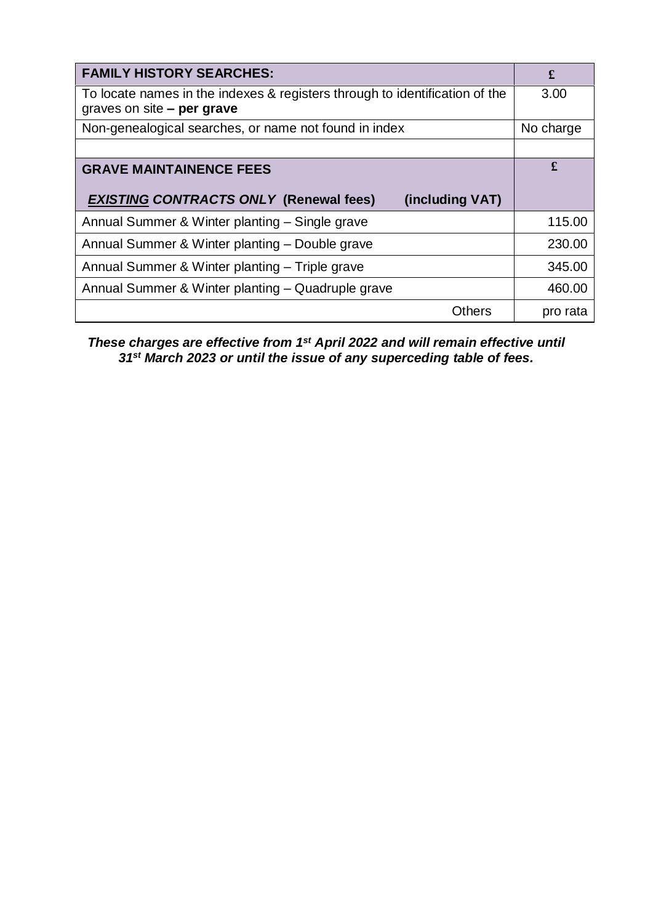| <b>FAMILY HISTORY SEARCHES:</b>                                                                             | £         |
|-------------------------------------------------------------------------------------------------------------|-----------|
| To locate names in the indexes & registers through to identification of the<br>graves on site $-$ per grave | 3.00      |
| Non-genealogical searches, or name not found in index                                                       | No charge |
|                                                                                                             |           |
| <b>GRAVE MAINTAINENCE FEES</b>                                                                              | £         |
| <b>EXISTING CONTRACTS ONLY (Renewal fees)</b><br>(including VAT)                                            |           |
| Annual Summer & Winter planting - Single grave                                                              | 115.00    |
|                                                                                                             |           |
| Annual Summer & Winter planting - Double grave                                                              | 230.00    |
| Annual Summer & Winter planting - Triple grave                                                              | 345.00    |
| Annual Summer & Winter planting - Quadruple grave                                                           | 460.00    |

*These charges are effective from 1st April 2022 and will remain effective until 31st March 2023 or until the issue of any superceding table of fees.*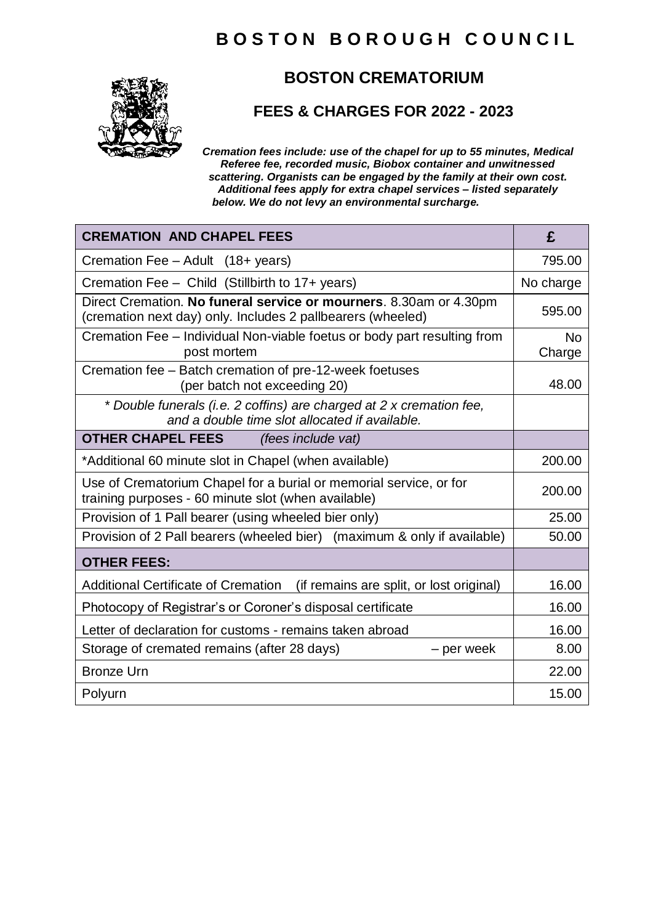## **B O S T O N B O R O U G H C O U N C I L**



### **BOSTON CREMATORIUM**

#### **FEES & CHARGES FOR 2022 - 2023**

*Cremation fees include: use of the chapel for up to 55 minutes, Medical Referee fee, recorded music, Biobox container and unwitnessed scattering. Organists can be engaged by the family at their own cost. Additional fees apply for extra chapel services – listed separately below. We do not levy an environmental surcharge.*

| <b>CREMATION AND CHAPEL FEES</b>                                                                                                  | £                   |
|-----------------------------------------------------------------------------------------------------------------------------------|---------------------|
| Cremation Fee - Adult (18+ years)                                                                                                 | 795.00              |
| Cremation Fee - Child (Stillbirth to 17+ years)                                                                                   | No charge           |
| Direct Cremation. No funeral service or mourners. 8.30am or 4.30pm<br>(cremation next day) only. Includes 2 pallbearers (wheeled) | 595.00              |
| Cremation Fee – Individual Non-viable foetus or body part resulting from<br>post mortem                                           | <b>No</b><br>Charge |
| Cremation fee - Batch cremation of pre-12-week foetuses<br>(per batch not exceeding 20)                                           | 48.00               |
| * Double funerals (i.e. 2 coffins) are charged at 2 x cremation fee,<br>and a double time slot allocated if available.            |                     |
| <b>OTHER CHAPEL FEES</b><br><i>(fees include vat)</i>                                                                             |                     |
| *Additional 60 minute slot in Chapel (when available)                                                                             | 200.00              |
| Use of Crematorium Chapel for a burial or memorial service, or for<br>training purposes - 60 minute slot (when available)         | 200.00              |
| Provision of 1 Pall bearer (using wheeled bier only)                                                                              | 25.00               |
| Provision of 2 Pall bearers (wheeled bier) (maximum & only if available)                                                          | 50.00               |
| <b>OTHER FEES:</b>                                                                                                                |                     |
| <b>Additional Certificate of Cremation</b><br>(if remains are split, or lost original)                                            | 16.00               |
| Photocopy of Registrar's or Coroner's disposal certificate                                                                        | 16.00               |
| Letter of declaration for customs - remains taken abroad                                                                          | 16.00               |
| Storage of cremated remains (after 28 days)<br>- per week                                                                         | 8.00                |
| <b>Bronze Urn</b>                                                                                                                 | 22.00               |
| Polyurn                                                                                                                           | 15.00               |